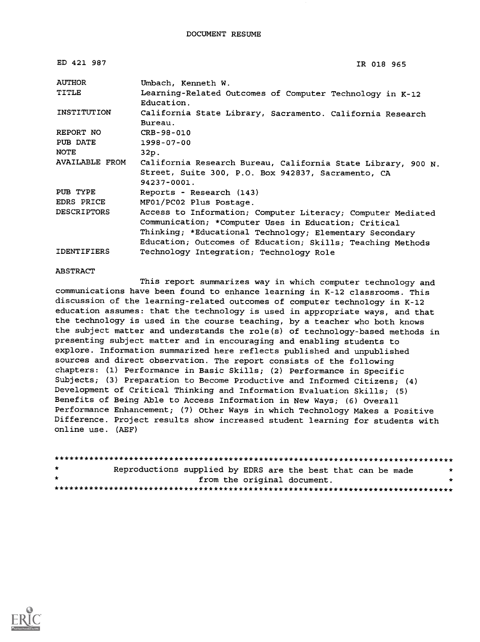ED 421 987

```
IR 018 965
```

| <b>AUTHOR</b>         | Umbach, Kenneth W.                                                     |  |  |  |  |  |  |  |
|-----------------------|------------------------------------------------------------------------|--|--|--|--|--|--|--|
| TITLE                 | Learning-Related Outcomes of Computer Technology in K-12<br>Education. |  |  |  |  |  |  |  |
| INSTITUTION           | California State Library, Sacramento. California Research<br>Bureau.   |  |  |  |  |  |  |  |
| REPORT NO             | CRB-98-010                                                             |  |  |  |  |  |  |  |
| PUB DATE              | 1998-07-00                                                             |  |  |  |  |  |  |  |
| NOTE                  | 32p.                                                                   |  |  |  |  |  |  |  |
| <b>AVAILABLE FROM</b> | California Research Bureau, California State Library, 900 N.           |  |  |  |  |  |  |  |
|                       | Street, Suite 300, P.O. Box 942837, Sacramento, CA                     |  |  |  |  |  |  |  |
|                       | $94237 - 0001$ .                                                       |  |  |  |  |  |  |  |
| PUB TYPE              | Reports - Research (143)                                               |  |  |  |  |  |  |  |
| EDRS PRICE            | MF01/PC02 Plus Postage.                                                |  |  |  |  |  |  |  |
| <b>DESCRIPTORS</b>    | Access to Information; Computer Literacy; Computer Mediated            |  |  |  |  |  |  |  |
|                       | Communication; *Computer Uses in Education; Critical                   |  |  |  |  |  |  |  |
|                       | Thinking; *Educational Technology; Elementary Secondary                |  |  |  |  |  |  |  |
|                       | Education; Outcomes of Education; Skills; Teaching Methods             |  |  |  |  |  |  |  |
| <b>IDENTIFIERS</b>    | Technology Integration; Technology Role                                |  |  |  |  |  |  |  |

#### ABSTRACT

This report summarizes way in which computer technology and communications have been found to enhance learning in K-12 classrooms. This discussion of the learning-related outcomes of computer technology in K-12 education assumes: that the technology is used in appropriate ways, and that the technology is used in the course teaching, by a teacher who both knows the subject matter and understands the role(s) of technology-based methods in presenting subject matter and in encouraging and enabling students to explore. Information summarized here reflects published and unpublished sources and direct observation. The report consists of the following chapters: (1) Performance in Basic Skills; (2) Performance in Specific Subjects; (3) Preparation to Become Productive and Informed Citizens; (4) Development of Critical Thinking and Information Evaluation Skills; (5) Benefits of Being Able to Access Information in New Ways; (6) Overall Performance Enhancement; (7) Other Ways in which Technology Makes a Positive Difference. Project results show increased student learning for students with online use. (AEF)

| $\star$      | Reproductions supplied by EDRS are the best that can be made |                             |  |  |  |  |  |  |
|--------------|--------------------------------------------------------------|-----------------------------|--|--|--|--|--|--|
| $\mathbf{r}$ |                                                              | from the original document. |  |  |  |  |  |  |
|              |                                                              |                             |  |  |  |  |  |  |

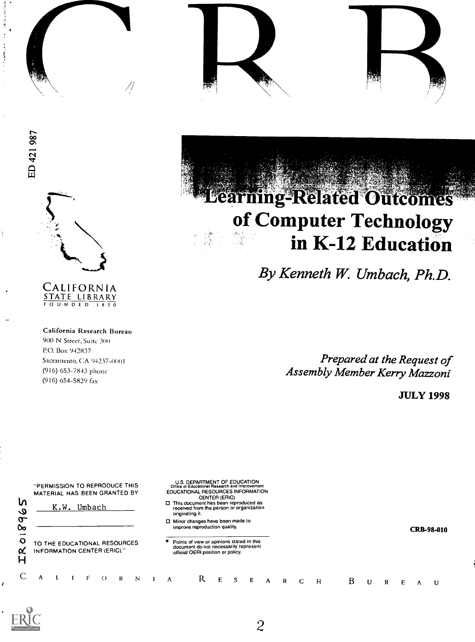





/ (

 $\frac{1}{2}$ 

# CALIFORNIA STATE LIBRARY

California Research Bureau 900 N Street, Suite 300 Ro. Box 942837 Sacramento, CA 04237-00 (916) 653-7843 phone (916) 654-5829 fax

# **Learning-Related Outcomes** of Computer Technology in K-12 Education

By Kenneth W. Umbach, Ph.D.

Prepared at the Request of Assembly Member Kerry Mazzoni

JULY 1998





2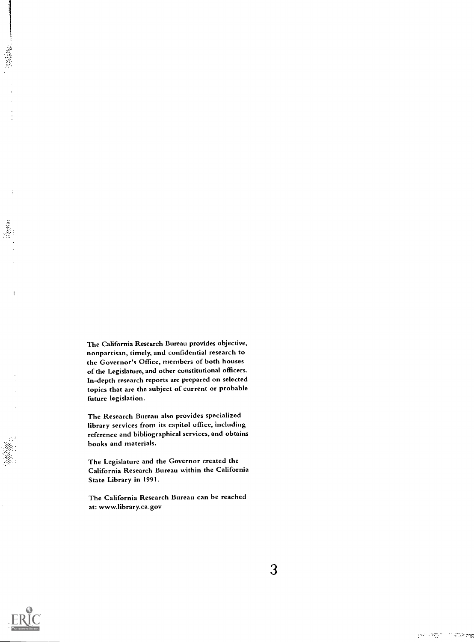The California Research Bureau provides objective, nonpartisan, timely, and confidential research to the Governor's Office, members of both houses of the Legislature, and other constitutional officers. In-depth research reports are prepared on selected topics that are the subject of current or probable future legislation.

The Research Bureau also provides specialized library services from its capitol office, including reference and bibliographical services, and obtains books and materials.

The Legislature and the Governor created the California Research Bureau within the California State Library in 1991.

The California Research Bureau can be reached at: www.library.ca.gov



Parties.

**Gentler**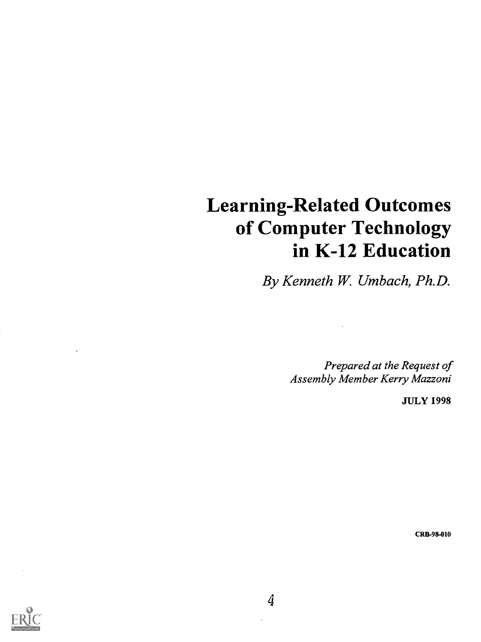# Learning-Related Outcomes of Computer Technology in K-12 Education

By Kenneth W. Umbach, Ph.D.

Prepared at the Request of Assembly Member Kerry Mazzoni

JULY 1998

CRS-98-010



 $\overline{4}$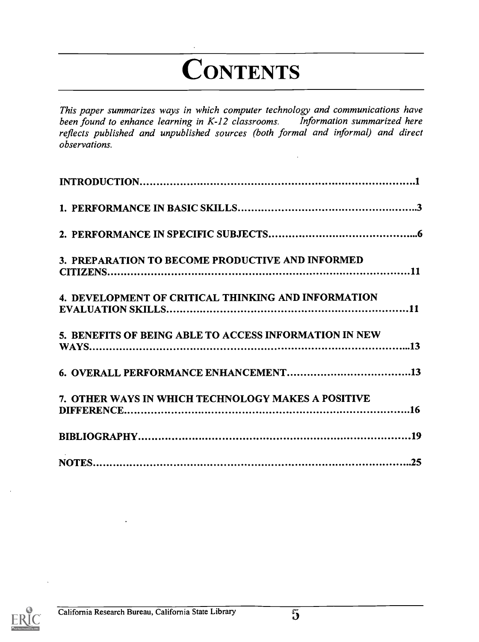# **ONTENTS**

This paper summarizes ways in which computer technology and communications have<br>been found to enhance learning in K-12 classrooms. Information summarized here been found to enhance learning in  $K-12$  classrooms. reflects published and unpublished sources (both formal and informal) and direct observations.

| 7. OTHER WAYS IN WHICH TECHNOLOGY MAKES A POSITIVE     |  |
|--------------------------------------------------------|--|
|                                                        |  |
| 5. BENEFITS OF BEING ABLE TO ACCESS INFORMATION IN NEW |  |
|                                                        |  |
|                                                        |  |
| 4. DEVELOPMENT OF CRITICAL THINKING AND INFORMATION    |  |
|                                                        |  |
| 3. PREPARATION TO BECOME PRODUCTIVE AND INFORMED       |  |
|                                                        |  |
|                                                        |  |
|                                                        |  |

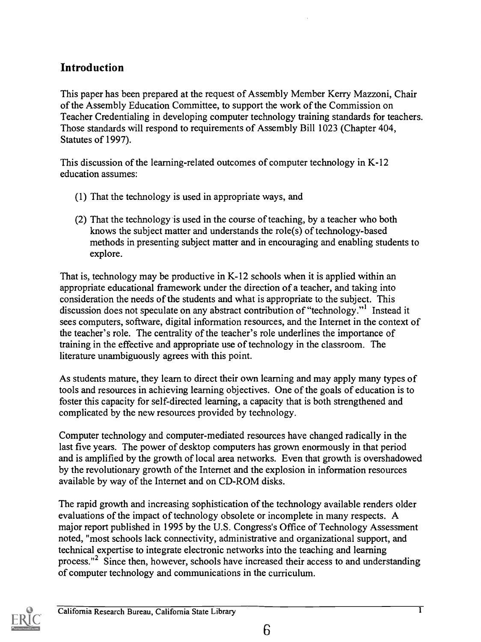## Introduction

This paper has been prepared at the request of Assembly Member Kerry Mazzoni, Chair of the Assembly Education Committee, to support the work of the Commission on Teacher Credentialing in developing computer technology training standards for teachers. Those standards will respond to requirements of Assembly Bill 1023 (Chapter 404, Statutes of 1997).

This discussion of the learning-related outcomes of computer technology in K-12 education assumes:

- (1) That the technology is used in appropriate ways, and
- (2) That the technology is used in the course of teaching, by a teacher who both knows the subject matter and understands the role(s) of technology-based methods in presenting subject matter and in encouraging and enabling students to explore.

That is, technology may be productive in K-12 schools when it is applied within an appropriate educational framework under the direction of a teacher, and taking into consideration the needs of the students and what is appropriate to the subject. This discussion does not speculate on any abstract contribution of "technology."<sup>1</sup> Instead it sees computers, software, digital information resources, and the Internet in the context of the teacher's role. The centrality of the teacher's role underlines the importance of training in the effective and appropriate use of technology in the classroom. The literature unambiguously agrees with this point.

As students mature, they learn to direct their own learning and may apply many types of tools and resources in achieving learning objectives. One of the goals of education is to foster this capacity for self-directed learning, a capacity that is both strengthened and complicated by the new resources provided by technology.

Computer technology and computer-mediated resources have changed radically in the last five years. The power of desktop computers has grown enormously in that period and is amplified by the growth of local area networks. Even that growth is overshadowed by the revolutionary growth of the Internet and the explosion in information resources available by way of the Internet and on CD-ROM disks.

The rapid growth and increasing sophistication of the technology available renders older evaluations of the impact of technology obsolete or incomplete in many respects. A major report published in 1995 by the U.S. Congress's Office of Technology Assessment noted, "most schools lack connectivity, administrative and organizational support, and technical expertise to integrate electronic networks into the teaching and learning process."2 Since then, however, schools have increased their access to and understanding of computer technology and communications in the curriculum.

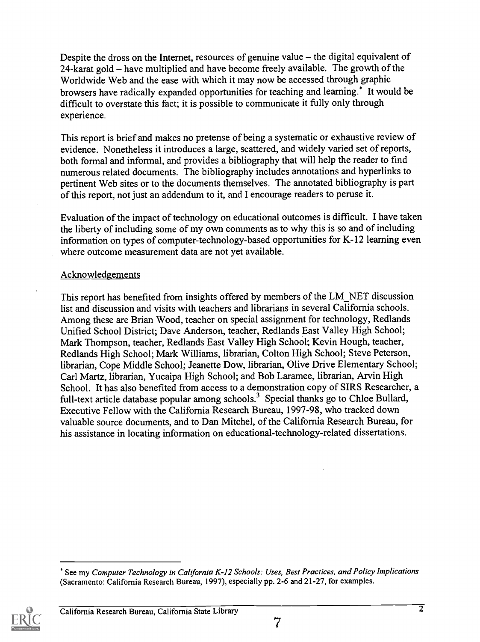Despite the dross on the Internet, resources of genuine value  $-$  the digital equivalent of 24-karat gold  $-$  have multiplied and have become freely available. The growth of the Worldwide Web and the ease with which it may now be accessed through graphic browsers have radically expanded opportunities for teaching and learning.\* It would be difficult to overstate this fact; it is possible to communicate it fully only through experience.

This report is brief and makes no pretense of being a systematic or exhaustive review of evidence. Nonetheless it introduces a large, scattered, and widely varied set of reports, both formal and informal, and provides a bibliography that will help the reader to find numerous related documents. The bibliography includes annotations and hyperlinks to pertinent Web sites or to the documents themselves. The annotated bibliography is part of this report, not just an addendum to it, and I encourage readers to peruse it.

Evaluation of the impact of technology on educational outcomes is difficult. I have taken the liberty of including some of my own comments as to why this is so and of including information on types of computer-technology-based opportunities for K-12 learning even where outcome measurement data are not yet available.

#### Acknowledgements

This report has benefited from insights offered by members of the LM\_NET discussion list and discussion and visits with teachers and librarians in several California schools. Among these are Brian Wood, teacher on special assignment for technology, Redlands Unified School District; Dave Anderson, teacher, Redlands East Valley High School; Mark Thompson, teacher, Redlands East Valley High School; Kevin Hough, teacher, Redlands High School; Mark Williams, librarian, Colton High School; Steve Peterson, librarian, Cope Middle School; Jeanette Dow, librarian, Olive Drive Elementary School; Carl Martz, librarian, Yucaipa High School; and Bob Laramee, librarian, Arvin High School. It has also benefited from access to a demonstration copy of SIRS Researcher, a full-text article database popular among schools.<sup>3</sup> Special thanks go to Chloe Bullard, Executive Fellow with the California Research Bureau, 1997-98, who tracked down valuable source documents, and to Dan Mitchel, of the California Research Bureau, for his assistance in locating information on educational-technology-related dissertations.

See my Computer Technology in California K-I2 Schools: Uses, Best Practices, and Policy Implications (Sacramento: California Research Bureau, 1997), especially pp. 2-6 and 21-27, for examples.

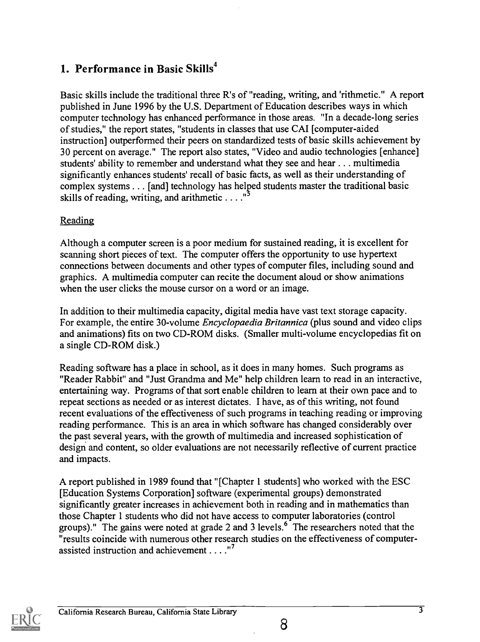# 1. Performance in Basic Skills $4$

Basic skills include the traditional three R's of "reading, writing, and 'rithmetic." A report published in June 1996 by the U.S. Department of Education describes ways in which computer technology has enhanced performance in those areas. "In a decade-long series of studies," the report states, "students in classes that use CAI [computer-aided instruction] outperformed their peers on standardized tests of basic skills achievement by 30 percent on average." The report also states, "Video and audio technologies [enhance] students' ability to remember and understand what they see and hear.. . . multimedia significantly enhances students' recall of basic facts, as well as their understanding of complex systems . . . [and] technology has helped students master the traditional basic skills of reading, writing, and arithmetic  $\dots$ ."

#### Reading

Although a computer screen is a poor medium for sustained reading, it is excellent for scanning short pieces of text. The computer offers the opportunity to use hypertext connections between documents and other types of computer files, including sound and graphics. A multimedia computer can recite the document aloud or show animations when the user clicks the mouse cursor on a word or an image.

In addition to their multimedia capacity, digital media have vast text storage capacity. For example, the entire 30-volume *Encyclopaedia Britannica* (plus sound and video clips and animations) fits on two CD-ROM disks. (Smaller multi-volume encyclopedias fit on a single CD-ROM disk.)

Reading software has a place in school, as it does in many homes. Such programs as "Reader Rabbit" and "Just Grandma and Me" help children learn to read in an interactive, entertaining way. Programs of that sort enable children to learn at their own pace and to repeat sections as needed or as interest dictates. I have, as of this writing, not found recent evaluations of the effectiveness of such programs in teaching reading or improving reading performance. This is an area in which software has changed considerably over the past several years, with the growth of multimedia and increased sophistication of design and content, so older evaluations are not necessarily reflective of current practice and impacts.

A report published in 1989 found that "[Chapter 1 students] who worked with the ESC [Education Systems Corporation] software (experimental groups) demonstrated significantly greater increases in achievement both in reading and in mathematics than those Chapter 1 students who did not have access to computer laboratories (control groups)." The gains were noted at grade 2 and 3 levels. $6\degree$  The researchers noted that the "results coincide with numerous other research studies on the effectiveness of computerassisted instruction and achievement . . . ."<sup>7</sup>



8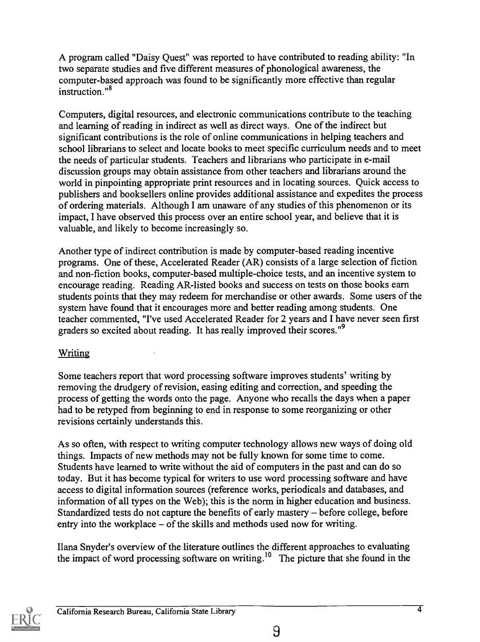A program called "Daisy Quest" was reported to have contributed to reading ability: "In two separate studies and five different measures of phonological awareness, the computer-based approach was found to be significantly more effective than regular instruction."8

Computers, digital resources, and electronic communications contribute to the teaching and learning of reading in indirect as well as direct ways. One of the indirect but significant contributions is the role of online communications in helping teachers and school librarians to select and locate books to meet specific curriculum needs and to meet the needs of particular students. Teachers and librarians who participate in e-mail discussion groups may obtain assistance from other teachers and librarians around the world in pinpointing appropriate print resources and in locating sources. Quick access to publishers and booksellers online provides additional assistance and expedites the process of ordering materials. Although I am unaware of any studies of this phenomenon or its impact, I have observed this process over an entire school year, and believe that it is valuable, and likely to become increasingly so.

Another type of indirect contribution is made by computer-based reading incentive programs. One of these, Accelerated Reader (AR) consists of a large selection of fiction and non-fiction books, computer-based multiple-choice tests, and an incentive system to encourage reading. Reading AR-listed books and success on tests on those books earn students points that they may redeem for merchandise or other awards. Some users of the system have found that it encourages more and better reading among students. One teacher commented, "I've used Accelerated Reader for 2 years and I have never seen first graders so excited about reading. It has really improved their scores."<sup>9</sup>

#### Writing

Some teachers report that word processing software improves students' writing by removing the drudgery of revision, easing editing and correction, and speeding the process of getting the words onto the page. Anyone who recalls the days when a paper had to be retyped from beginning to end in response to some reorganizing or other revisions certainly understands this.

As so often, with respect to writing computer technology allows new ways of doing old things. Impacts of new methods may not be fully known for some time to come. Students have learned to write without the aid of computers in the past and can do so today. But it has become typical for writers to use word processing software and have access to digital information sources (reference works, periodicals and databases, and information of all types on the Web); this is the norm in higher education and business. Standardized tests do not capture the benefits of early mastery – before college, before entry into the workplace  $-$  of the skills and methods used now for writing.

Ilana Snyder's overview of the literature outlines the different approaches to evaluating the impact of word processing software on writing.<sup>10</sup> The picture that she found in the

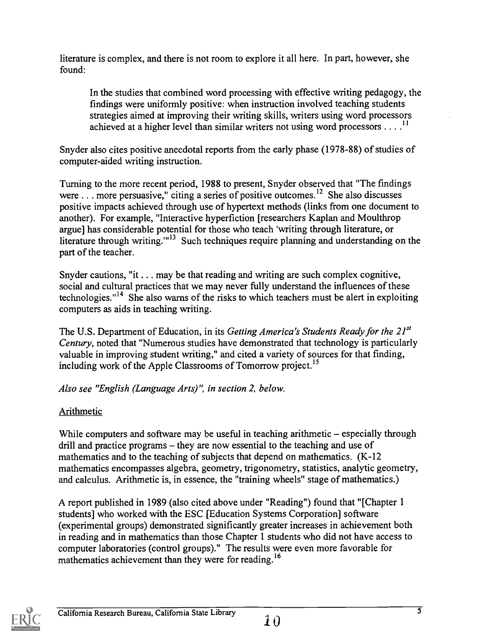literature is complex, and there is not room to explore it all here. In part, however, she found:

In the studies that combined word processing with effective writing pedagogy, the findings were uniformly positive: when instruction involved teaching students strategies aimed at improving their writing skills, writers using word processors achieved at a higher level than similar writers not using word processors  $\dots$ <sup>11</sup>

Snyder also cites positive anecdotal reports from the early phase (1978-88) of studies of computer-aided writing instruction.

Turning to the more recent period, 1988 to present, Snyder observed that "The findings were . . . more persuasive," citing a series of positive outcomes.<sup>12</sup> She also discusses positive impacts achieved through use of hypertext methods (links from one document to another). For example, "Interactive hyperfiction [researchers Kaplan and Moulthrop argue] has considerable potential for those who teach 'writing through literature, or literature through writing."<sup>13</sup> Such techniques require planning and understanding on the part of the teacher.

Snyder cautions, "it  $\ldots$  may be that reading and writing are such complex cognitive, social and cultural practices that we may never fully understand the influences of these technologies."<sup>14</sup> She also warns of the risks to which teachers must be alert in exploiting computers as aids in teaching writing.

The U.S. Department of Education, in its Getting America's Students Ready for the  $21^{st}$ Century, noted that "Numerous studies have demonstrated that technology is particularly valuable in improving student writing," and cited a variety of sources for that finding, including work of the Apple Classrooms of Tomorrow project.<sup>15</sup>

Also see "English (Language Arts) ", in section 2, below.

#### Arithmetic

While computers and software may be useful in teaching arithmetic  $-$  especially through drill and practice programs  $-\beta$  they are now essential to the teaching and use of mathematics and to the teaching of subjects that depend on mathematics. (K-12 mathematics encompasses algebra, geometry, trigonometry, statistics, analytic geometry, and calculus. Arithmetic is, in essence, the "training wheels" stage of mathematics.)

A report published in 1989 (also cited above under "Reading") found that "[Chapter 1 students] who worked with the ESC [Education Systems Corporation] software (experimental groups) demonstrated significantly greater increases in achievement both in reading and in mathematics than those Chapter 1 students who did not have access to computer laboratories (control groups)." The results were even more favorable for mathematics achievement than they were for reading.<sup>16</sup>

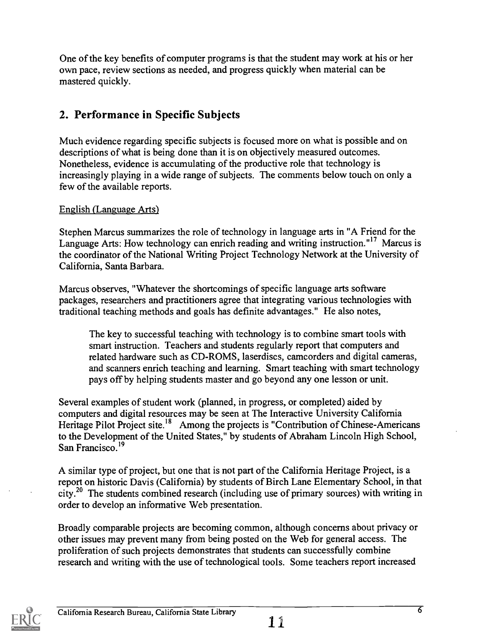One of the key benefits of computer programs is that the student may work at his or her own pace, review sections as needed, and progress quickly when material can be mastered quickly.

# 2. Performance in Specific Subjects

Much evidence regarding specific subjects is focused more on what is possible and on descriptions of what is being done than it is on objectively measured outcomes. Nonetheless, evidence is accumulating of the productive role that technology is increasingly playing in a wide range of subjects. The comments below touch on only a few of the available reports.

#### English (Language Arts)

Stephen Marcus summarizes the role of technology in language arts in "A Friend for the Language Arts: How technology can enrich reading and writing instruction."<sup>17</sup> Marcus is the coordinator of the National Writing Project Technology Network at the University of California, Santa Barbara.

Marcus observes, "Whatever the shortcomings of specific language arts software packages, researchers and practitioners agree that integrating various technologies with traditional teaching methods and goals has definite advantages." He also notes,

The key to successful teaching with technology is to combine smart tools with smart instruction. Teachers and students regularly report that computers and related hardware such as CD-ROMS, laserdiscs, camcorders and digital cameras, and scanners enrich teaching and learning. Smart teaching with smart technology pays off by helping students master and go beyond any one lesson or unit.

Several examples of student work (planned, in progress, or completed) aided by computers and digital resources may be seen at The Interactive University California Heritage Pilot Project site.<sup>18</sup> Among the projects is "Contribution of Chinese-Americans" to the Development of the United States," by students of Abraham Lincoln High School, San Francisco.<sup>19</sup>

A similar type of project, but one that is not part of the California Heritage Project, is a report on historic Davis (California) by students of Birch Lane Elementary School, in that city.2° The students combined research (including use of primary sources) with writing in order to develop an informative Web presentation.

Broadly comparable projects are becoming common, although concerns about privacy or other issues may prevent many from being posted on the Web for general access. The proliferation of such projects demonstrates that students can successfully combine research and writing with the use of technological tools. Some teachers report increased

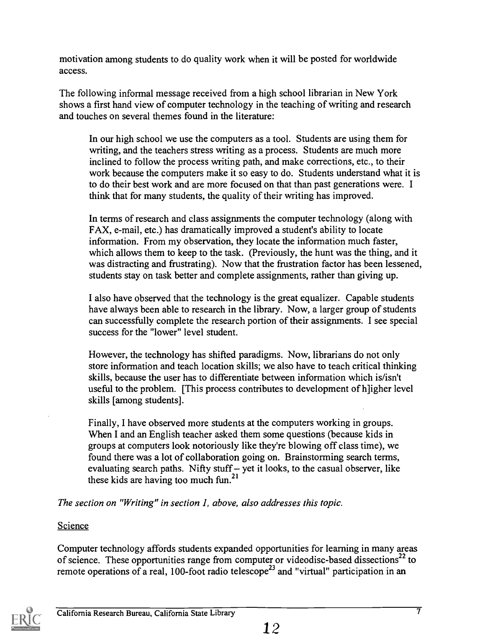motivation among students to do quality work when it will be posted for worldwide access.

The following informal message received from a high school librarian in New York shows a first hand view of computer technology in the teaching of writing and research and touches on several themes found in the literature:

In our high school we use the computers as a tool. Students are using them for writing, and the teachers stress writing as a process. Students are much more inclined to follow the process writing path, and make corrections, etc., to their work because the computers make it so easy to do. Students understand what it is to do their best work and are more focused on that than past generations were. I think that for many students, the quality of their writing has improved.

In terms of research and class assignments the computer technology (along with FAX, e-mail, etc.) has dramatically improved a student's ability to locate information. From my observation, they locate the information much faster, which allows them to keep to the task. (Previously, the hunt was the thing, and it was distracting and frustrating). Now that the frustration factor has been lessened, students stay on task better and complete assignments, rather than giving up.

I also have observed that the technology is the great equalizer. Capable students have always been able to research in the library. Now, a larger group of students can successfully complete the research portion of their assignments. I see special success for the "lower" level student.

However, the technology has shifted paradigms. Now, librarians do not only store information and teach location skills; we also have to teach critical thinking skills, because the user has to differentiate between information which is/isn't useful to the problem. [This process contributes to development of h]igher level skills [among students].

Finally, I have observed more students at the computers working in groups. When I and an English teacher asked them some questions (because kids in groups at computers look notoriously like they're blowing off class time), we found there was a lot of collaboration going on. Brainstorming search terms, evaluating search paths. Nifty stuff  $-$  yet it looks, to the casual observer, like these kids are having too much fun.<sup>21</sup>

The section on "Writing" in section 1, above, also addresses this topic.

#### Science

Computer technology affords students expanded opportunities for learning in many areas of science. These opportunities range from computer or videodisc-based dissections<sup>22</sup> to remote operations of a real, 100-foot radio telescope<sup>23</sup> and "virtual" participation in an

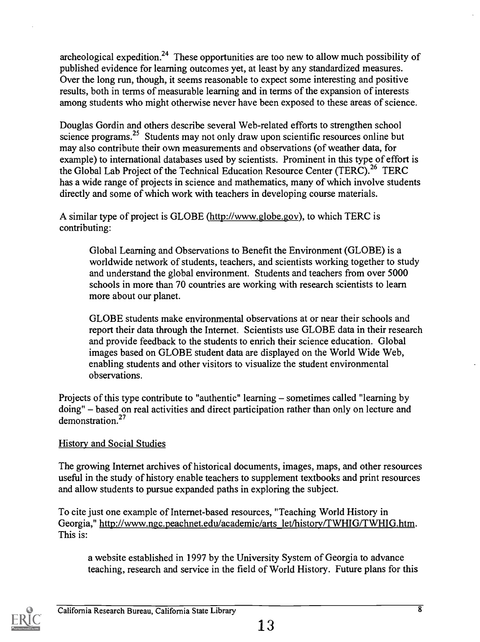archeological expedition.<sup>24</sup> These opportunities are too new to allow much possibility of published evidence for learning outcomes yet, at least by any standardized measures. Over the long run, though, it seems reasonable to expect some interesting and positive results, both in terms of measurable learning and in terms of the expansion of interests among students who might otherwise never have been exposed to these areas of science.

Douglas Gordin and others describe several Web-related efforts to strengthen school science programs.<sup>25</sup> Students may not only draw upon scientific resources online but may also contribute their own measurements and observations (of weather data, for example) to international databases used by scientists. Prominent in this type of effort is the Global Lab Project of the Technical Education Resource Center (TERC).<sup>26</sup> TERC has a wide range of projects in science and mathematics, many of which involve students directly and some of which work with teachers in developing course materials.

A similar type of project is GLOBE (http://www.globe.gov), to which TERC is contributing:

Global Learning and Observations to Benefit the Environment (GLOBE) is a worldwide network of students, teachers, and scientists working together to study and understand the global environment. Students and teachers from over 5000 schools in more than 70 countries are working with research scientists to learn more about our planet.

GLOBE students make environmental observations at or near their schools and report their data through the Internet. Scientists use GLOBE data in their research and provide feedback to the students to enrich their science education. Global images based on GLOBE student data are displayed on the World Wide Web, enabling students and other visitors to visualize the student environmental observations.

Projects of this type contribute to "authentic" learning - sometimes called "learning by doing" – based on real activities and direct participation rather than only on lecture and demonstration.27

#### History and Social Studies

The growing Internet archives of historical documents, images, maps, and other resources useful in the study of history enable teachers to supplement textbooks and print resources and allow students to pursue expanded paths in exploring the subject.

To cite just one example of Internet-based resources, "Teaching World History in Georgia," http://www.ngc.peachnet.edu/academic/arts let/history/TWHIG/TWHIG.htm. This is:

a website established in 1997 by the University System of Georgia to advance teaching, research and service in the field of World History. Future plans for this

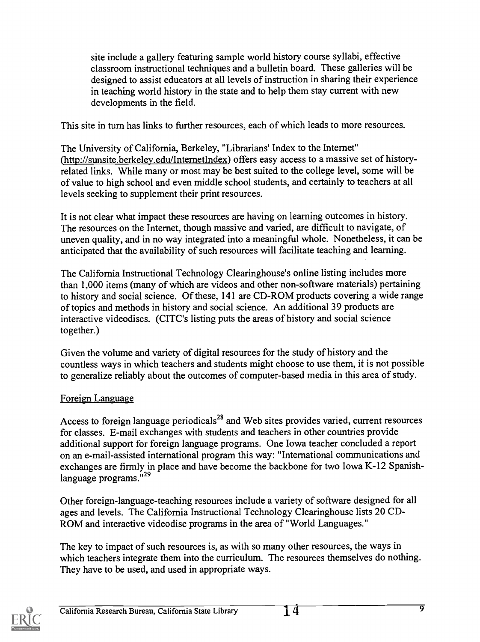site include a gallery featuring sample world history course syllabi, effective classroom instructional techniques and a bulletin board. These galleries will be designed to assist educators at all levels of instruction in sharing their experience in teaching world history in the state and to help them stay current with new developments in the field.

This site in turn has links to further resources, each of which leads to more resources.

The University of California, Berkeley, "Librarians' Index to the Internet" (http://sunsite.berkeley.edu/InternetIndex) offers easy access to a massive set of historyrelated links. While many or most may be best suited to the college level, some will be of value to high school and even middle school students, and certainly to teachers at all levels seeking to supplement their print resources.

It is not clear what impact these resources are having on learning outcomes in history. The resources on the Internet, though massive and varied, are difficult to navigate, of uneven quality, and in no way integrated into a meaningful whole. Nonetheless, it can be anticipated that the availability of such resources will facilitate teaching and learning.

The California Instructional Technology Clearinghouse's online listing includes more than 1,000 items (many of which are videos and other non-software materials) pertaining to history and social science. Of these, 141 are CD-ROM products covering a wide range of topics and methods in history and social science. An additional 39 products are interactive videodiscs. (CITC's listing puts the areas of history and social science together.)

Given the volume and variety of digital resources for the study of history and the countless ways in which teachers and students might choose to use them, it is not possible to generalize reliably about the outcomes of computer-based media in this area of study.

#### Foreign Language

Access to foreign language periodicals<sup>28</sup> and Web sites provides varied, current resources for classes. E-mail exchanges with students and teachers in other countries provide additional support for foreign language programs. One Iowa teacher concluded a report on an e-mail-assisted international program this way: "International communications and exchanges are firmly in place and have become the backbone for two Iowa K-12 Spanishlanguage programs."<sup>29</sup>

Other foreign-language-teaching resources include a variety of software designed for all ages and levels. The California Instructional Technology Clearinghouse lists 20 CD-ROM and interactive videodisc programs in the area of "World Languages."

The key to impact of such resources is, as with so many other resources, the ways in which teachers integrate them into the curriculum. The resources themselves do nothing. They have to be used, and used in appropriate ways.

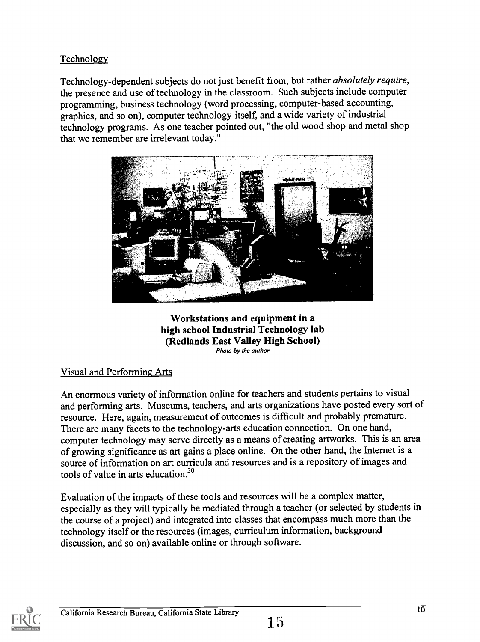#### Technology

Technology-dependent subjects do not just benefit from, but rather absolutely require, the presence and use of technology in the classroom. Such subjects include computer programming, business technology (word processing, computer-based accounting, graphics, and so on), computer technology itself, and a wide variety of industrial technology programs. As one teacher pointed out, "the old wood shop and metal shop that we remember are irrelevant today."



Workstations and equipment in a high school Industrial Technology lab (Redlands East Valley High School) Photo by the author

#### Visual and Performing Arts

An enormous variety of information online for teachers and students pertains to visual and performing arts. Museums, teachers, and arts organizations have posted every sort of resource. Here, again, measurement of outcomes is difficult and probably premature. There are many facets to the technology-arts education connection. On one hand, computer technology may serve directly as a means of creating artworks. This is an area of growing significance as art gains a place online. On the other hand, the Internet is a source of information on art curricula and resources and is a repository of images and tools of value in arts education.<sup>30</sup>

Evaluation of the impacts of these tools and resources will be a complex matter, especially as they will typically be mediated through a teacher (or selected by students in the course of a project) and integrated into classes that encompass much more than the technology itself or the resources (images, curriculum information, background discussion, and so on) available online or through software.

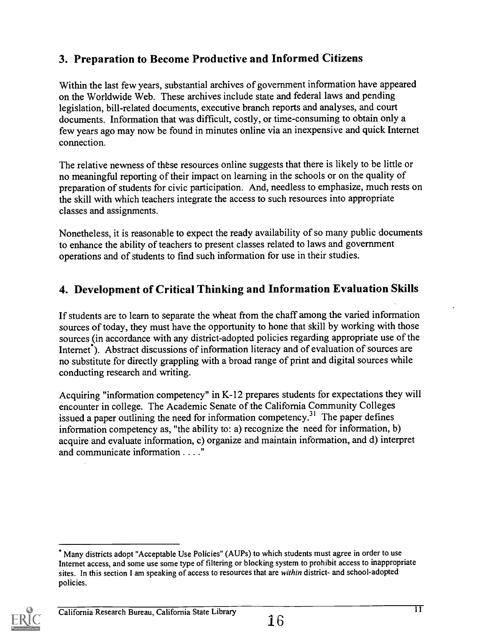## 3. Preparation to Become Productive and Informed Citizens

Within the last few years, substantial archives of government information have appeared on the Worldwide Web. These archives include state and federal laws and pending legislation, bill-related documents, executive branch reports and analyses, and court documents. Information that was difficult, costly, or time-consuming to obtain only a few years ago may now be found in minutes online via an inexpensive and quick Internet connection.

The relative newness of these resources online suggests that there is likely to be little or no meaningful reporting of their impact on learning in the schools or on the qualityof preparation of students for civic participation. And, needless to emphasize, much rests on the skill with which teachers integrate the access to such resources into appropriate classes and assignments.

Nonetheless, it is reasonable to expect the ready availability of so many public documents to enhance the ability of teachers to present classes related to laws and government operations and of students to find such information for use in their studies.

# 4. Development of Critical Thinking and Information Evaluation Skills

If students are to learn to separate the wheat from the chaff among the varied information sources of today, they must have the opportunity to hone that skill by working with those sources (in accordance with any district-adopted policies regarding appropriate use of the Internet<sup>7</sup>). Abstract discussions of information literacy and of evaluation of sources are no substitute for directly grappling with a broad range of print and digital sources while conducting research and writing.

Acquiring "information competency" in K-12 prepares students for expectations they will encounter in college. The Academic Senate of the California Community Colleges issued a paper outlining the need for information competency.<sup>31</sup> The paper defines information competency as, "the ability to: a) recognize the need for information, b) acquire and evaluate information, c) organize and maintain information, and d) interpret and communicate information . . . ."

Many districts adopt "Acceptable Use Policies" (AUPs) to which students must agree in order to use Internet access, and some use some type of filtering or blocking system to prohibit access to inappropriate sites. In this section I am speaking of access to resources that are within district- and school-adopted policies.

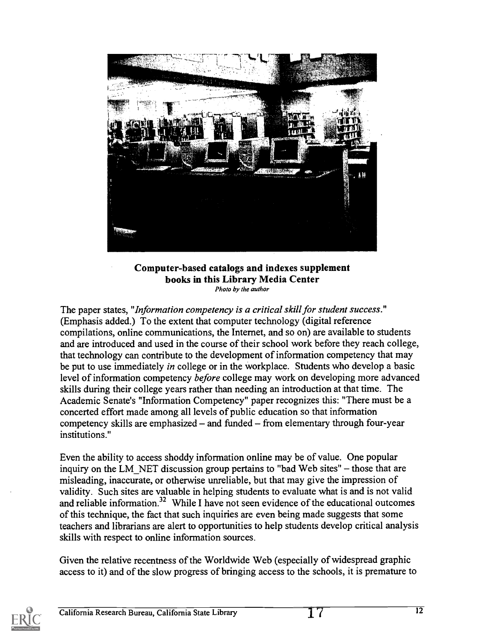

Computer-based catalogs and indexes supplement books in this Library Media Center Photo by the author

The paper states, "*Information competency is a critical skill for student success*." (Emphasis added.) To the extent that computer technology (digital reference compilations, online communications, the Internet, and so on) are available to students and are introduced and used in the course of their school work before they reach college, that technology can contribute to the development of information competency that may be put to use immediately *in* college or in the workplace. Students who develop a basic level of information competency before college may work on developing more advanced skills during their college years rather than needing an introduction at that time. The Academic Senate's "Information Competency" paper recognizes this: "There must be a concerted effort made among all levels of public education so that information competency skills are emphasized  $-$  and funded  $-$  from elementary through four-year institutions."

Even the ability to access shoddy information online may be of value. One popular inquiry on the LM\_NET discussion group pertains to "bad Web sites"  $-$  those that are misleading, inaccurate, or otherwise unreliable, but that may give the impression of validity. Such sites are valuable in helping students to evaluate what is and is not valid and reliable information.<sup>32</sup> While I have not seen evidence of the educational outcomes of this technique, the fact that such inquiries are even being made suggests that some teachers and librarians are alert to opportunities to help students develop critical analysis skills with respect to online information sources.

Given the relative recentness of the Worldwide Web (especially of widespread graphic access to it) and of the slow progress of bringing access to the schools, it is premature to

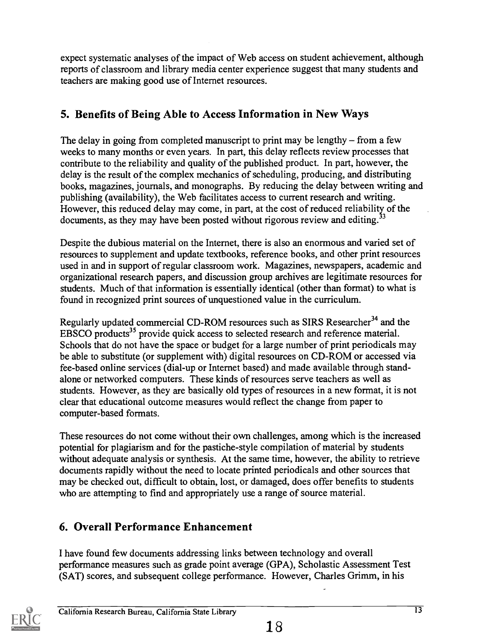expect systematic analyses of the impact of Web access on student achievement, although reports of classroom and library media center experience suggest that many students and teachers are making good use of Internet resources.

# 5. Benefits of Being Able to Access Information in New Ways

The delay in going from completed manuscript to print may be lengthy  $-$  from a few weeks to many months or even years. In part, this delay reflects review processes that contribute to the reliability and quality of the published product. In part, however, the delay is the result of the complex mechanics of scheduling, producing, and distributing books, magazines, journals, and monographs. By reducing the delay between writing and publishing (availability), the Web facilitates access to current research and writing. However, this reduced delay may come, in part, at the cost of reduced reliability of the documents, as they may have been posted without rigorous review and editing.<sup>33</sup>

Despite the dubious material on the Internet, there is also an enormous and varied set of resources to supplement and update textbooks, reference books, and other print resources used in and in support of regular classroom work. Magazines, newspapers, academic and organizational research papers, and discussion group archives are legitimate resources for students. Much of that information is essentially identical (other than format) to what is found in recognized print sources of unquestioned value in the curriculum.

Regularly updated commercial CD-ROM resources such as SIRS Researcher<sup>34</sup> and the EBSCO products<sup>35</sup> provide quick access to selected research and reference material. Schools that do not have the space or budget for a large number of print periodicals may be able to substitute (or supplement with) digital resources on CD-ROM or accessed via fee-based online services (dial-up or Internet based) and made available through standalone or networked computers. These kinds of resources serve teachers as well as students. However, as they are basically old types of resources in a new format, it is not clear that educational outcome measures would reflect the change from paper to computer-based formats.

These resources do not come without their own challenges, among which is the increased potential for plagiarism and for the pastiche-style compilation of material by students without adequate analysis or synthesis. At the same time, however, the ability to retrieve documents rapidly without the need to locate printed periodicals and other sources that may be checked out, difficult to obtain, lost, or damaged, does offer benefits to students who are attempting to find and appropriately use a range of source material.

# 6. Overall Performance Enhancement

I have found few documents addressing links between technology and overall performance measures such as grade point average (GPA), Scholastic Assessment Test (SAT) scores, and subsequent college performance. However, Charles Grimm, in his

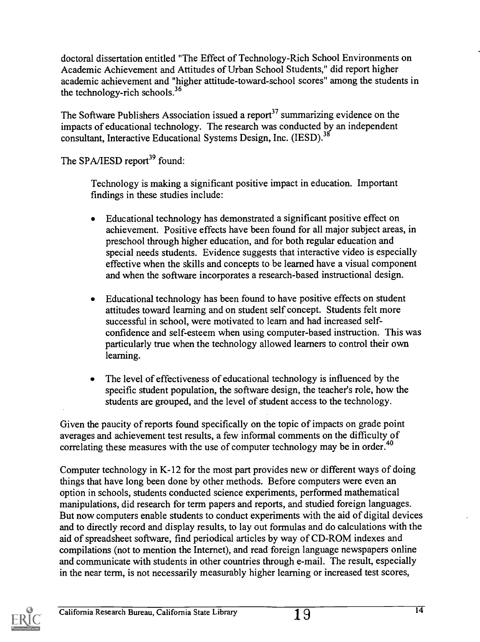doctoral dissertation entitled "The Effect of Technology-Rich School Environments on Academic Achievement and Attitudes of Urban School Students," did report higher academic achievement and "higher attitude-toward-school scores" among the students in the technology-rich schools. $36$ 

The Software Publishers Association issued a report<sup>37</sup> summarizing evidence on the impacts of educational technology. The research was conducted by an independent consultant, Interactive Educational Systems Design, Inc. (IESD).<sup>38</sup>

The SPA/IESD report<sup>39</sup> found:

Technology is making a significant positive impact in education. Important findings in these studies include:

- Educational technology has demonstrated a significant positive effect on achievement. Positive effects have been found for all major subject areas, in preschool through higher education, and for both regular education and special needs students. Evidence suggests that interactive video is especially effective when the skills and concepts to be learned have a visual component and when the software incorporates a research-based instructional design.
- Educational technology has been found to have positive effects on student attitudes toward learning and on student self concept. Students felt more successful in school, were motivated to learn and had increased selfconfidence and self-esteem when using computer-based instruction. This was particularly true when the technology allowed learners to control their own learning.
- The level of effectiveness of educational technology is influenced by the specific student population, the software design, the teacher's role, how the students are grouped, and the level of student access to the technology.

Given the paucity of reports found specifically on the topic of impacts on grade point averages and achievement test results, a few informal comments on the difficulty of correlating these measures with the use of computer technology may be in order.<sup>40</sup>

Computer technology in K-12 for the most part provides new or different ways of doing things that have long been done by other methods. Before computers were even an option in schools, students conducted science experiments, performed mathematical manipulations, did research for term papers and reports, and studied foreign languages. But now computers enable students to conduct experiments with the aid of digital devices and to directly record and display results, to lay out formulas and do calculations with the aid of spreadsheet software, find periodical articles by way of CD-ROM indexes and compilations (not to mention the Internet), and read foreign language newspapers online and communicate with students in other countries through e-mail. The result, especially in the near term, is not necessarily measurably higher learning or increased test scores,

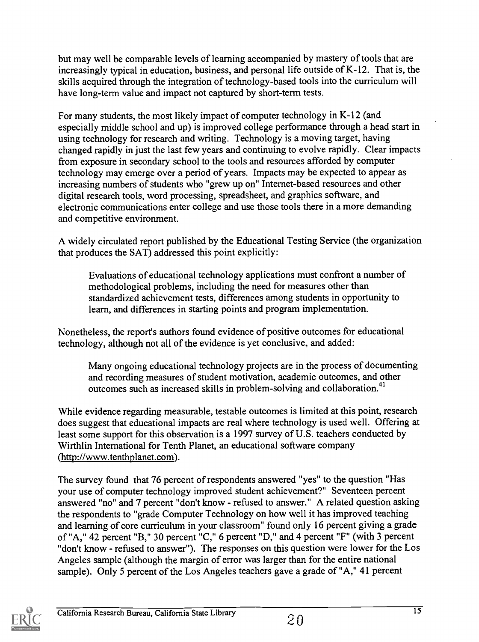but may well be comparable levels of learning accompanied by mastery of tools that are increasingly typical in education, business, and personal life outside of K-12. That is, the skills acquired through the integration of technology-based tools into the curriculum will have long-term value and impact not captured by short-term tests.

For many students, the most likely impact of computer technology in K-12 (and especially middle school and up) is improved college performance through a head start in using technology for research and writing. Technology is a moving target, having changed rapidly in just the last few years and continuing to evolve rapidly. Clear impacts from exposure in secondary school to the tools and resources afforded by computer technology may emerge over a period of years. Impacts may be expected to appear as increasing numbers of students who "grew up on" Internet-based resources and other digital research tools, word processing, spreadsheet, and graphics software, and electronic communications enter college and use those tools there in a more demanding and competitive environment.

A widely circulated report published by the Educational Testing Service (the organization that produces the SAT) addressed this point explicitly:

Evaluations of educational technology applications must confront a number of methodological problems, including the need for measures other than standardized achievement tests, differences among students in opportunity to learn, and differences in starting points and program implementation.

Nonetheless, the report's authors found evidence of positive outcomes for educational technology, although not all of the evidence is yet conclusive, and added:

Many ongoing educational technology projects are in the process of documenting and recording measures of student motivation, academic outcomes, and other outcomes such as increased skills in problem-solving and collaboration.<sup>41</sup>

While evidence regarding measurable, testable outcomes is limited at this point, research does suggest that educational impacts are real where technology is used well. Offering at least some support for this observation is a 1997 survey of U.S. teachers conducted by Wirthlin International for Tenth Planet, an educational software company (http://www.tenthplanet.com).

The survey found that 76 percent of respondents answered "yes" to the question "Has your use of computer technology improved student achievement?" Seventeen percent answered "no" and 7 percent "don't know - refused to answer." A related question asking the respondents to "grade Computer Technology on how well it has improved teaching and learning of core curriculum in your classroom" found only 16 percent giving a grade of "A," 42 percent "B," 30 percent "C," 6 percent "D," and 4 percent "F" (with 3 percent "don't know - refused to answer"). The responses on this question were lower for the Los Angeles sample (although the margin of error was larger than for the entire national sample). Only 5 percent of the Los Angeles teachers gave a grade of "A," 41 percent

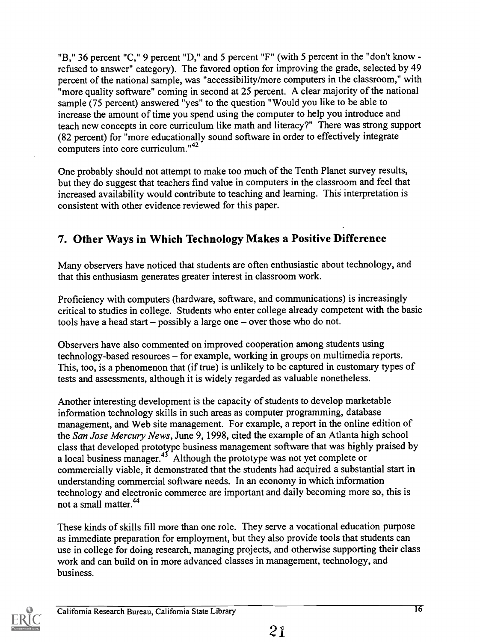"B," 36 percent "C," 9 percent "D," and 5 percent "F" (with 5 percent in the "don't know refused to answer" category). The favored option for improving the grade, selected by 49 percent of the national sample, was "accessibility/more computers in the classroom," with "more quality software" coming in second at 25 percent. A clear majority of the national sample (75 percent) answered "yes" to the question "Would you like to be able to increase the amount of time you spend using the computer to help you introduce and teach new concepts in core curriculum like math and literacy?" There was strong support (82 percent) for "more educationally sound software in order to effectively integrate computers into core curriculum."42

One probably should not attempt to make too much of the Tenth Planet survey results, but they do suggest that teachers find value in computers in the classroom and feel that increased availability would contribute to teaching and learning. This interpretation is consistent with other evidence reviewed for this paper.

#### 7. Other Ways in Which Technology Makes a Positive Difference

Many observers have noticed that students are often enthusiastic about technology, and that this enthusiasm generates greater interest in classroom work.

Proficiency with computers (hardware, software, and communications) is increasingly critical to studies in college. Students who enter college already competent with the basic tools have a head start  $-$  possibly a large one  $-$  over those who do not.

Observers have also commented on improved cooperation among students using technology-based resources – for example, working in groups on multimedia reports. This, too, is a phenomenon that (if true) is unlikely to be captured in customary types of tests and assessments, although it is widely regarded as valuable nonetheless.

Another interesting development is the capacity of students to develop marketable information technology skills in such areas as computer programming, database management, and Web site management. For example, a report in the online edition of the San Jose Mercury News, June 9, 1998, cited the example of an Atlanta high school class that developed prototype business management software that was highly praised by a local business manager.<sup>43</sup> Although the prototype was not yet complete or commercially viable, it demonstrated that the students had acquired a substantial start in understanding commercial software needs. In an economy in which information technology and electronic commerce are important and daily becoming more so, this is not a small matter.44

These kinds of skills fill more than one role. They serve a vocational education purpose as immediate preparation for employment, but they also provide tools that students can use in college for doing research, managing projects, and otherwise supporting their class work and can build on in more advanced classes in management, technology, and business.

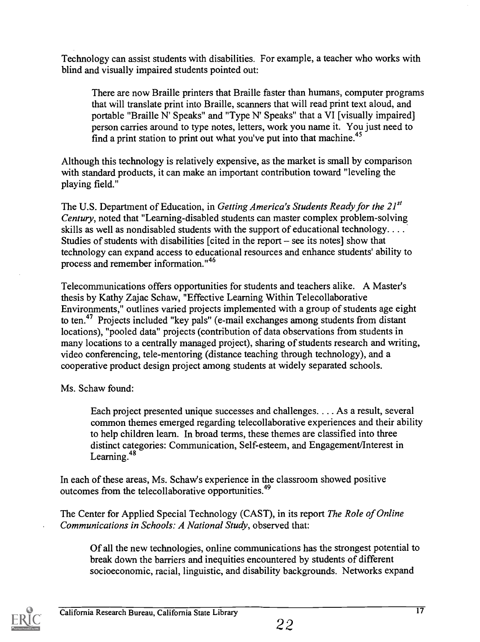Technology can assist students with disabilities. For example, a teacher who works with blind and visually impaired students pointed out:

There are now Braille printers that Braille faster than humans, computer programs that will translate print into Braille, scanners that will read print text aloud, and portable "Braille N' Speaks" and "Type N' Speaks" that a VI [visually impaired] person carries around to type notes, letters, work you name it. You just need to find a print station to print out what you've put into that machine.<sup>45</sup>

Although this technology is relatively expensive, as the market is small by comparison with standard products, it can make an important contribution toward "leveling the playing field."

The U.S. Department of Education, in Getting America's Students Ready for the  $21^{st}$ Century, noted that "Learning-disabled students can master complex problem-solving skills as well as nondisabled students with the support of educational technology. . . . Studies of students with disabilities [cited in the report  $-$  see its notes] show that technology can expand access to educational resources and enhance students' ability to process and remember information."46

Telecommunications offers opportunities for students and teachers alike. A Master's thesis by Kathy Zajac Schaw, "Effective Learning Within Telecollaborative Environments," outlines varied projects implemented with a group of students age eight to ten.<sup>47</sup> Projects included "key pals" (e-mail exchanges among students from distant locations), "pooled data" projects (contribution of data observations from students in many locations to a centrally managed project), sharing of students research and writing, video conferencing, tele-mentoring (distance teaching through technology), and a cooperative product design project among students at widely separated schools.

Ms. Schaw found:

Each project presented unique successes and challenges. . .. As a result, several common themes emerged regarding telecollaborative experiences and their ability to help children learn. In broad terms, these themes are classified into three distinct categories: Communication, Self-esteem, and Engagement/Interest in Learning. <sup>48</sup>

In each of these areas, Ms. Schaw's experience in the classroom showed positive outcomes from the telecollaborative opportunities.49

The Center for Applied Special Technology (CAST), in its report The Role of Online Communications in Schools: A National Study, observed that:

Of all the new technologies, online communications has the strongest potential to break down the barriers and inequities encountered by students of different socioeconomic, racial, linguistic, and disability backgrounds. Networks expand

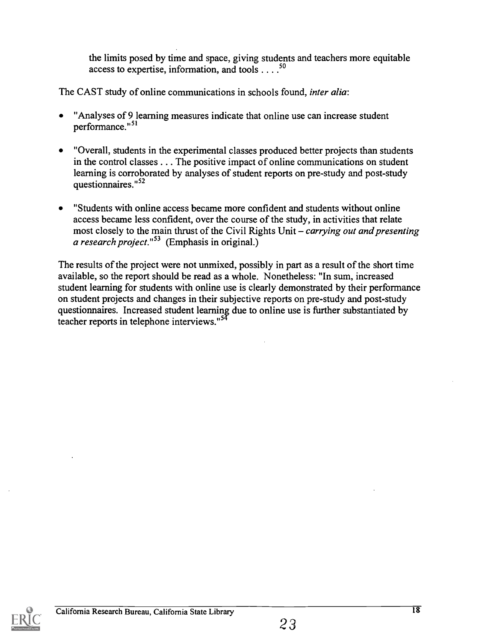the limits posed by time and space, giving students and teachers more equitable access to expertise, information, and tools  $\dots$ <sup>50</sup>

The CAST study of online communications in schools found, inter alia:

- "Analyses of 9 learning measures indicate that online use can increase student performance."<sup>51</sup>
- "Overall, students in the experimental classes produced better projects than students in the control classes . . . The positive impact of online communications on student learning is corroborated by analyses of student reports on pre-study and post-study questionnaires."<sup>52</sup>
- "Students with online access became more confident and students without online access became less confident, over the course of the study, in activities that relate most closely to the main thrust of the Civil Rights Unit  $-carrying out and presenting$ a research project."<sup>53</sup> (Emphasis in original.)

The results of the project were not unmixed, possibly in part as a result of the short time available, so the report should be read as a whole. Nonetheless: "In sum, increased student learning for students with online use is clearly demonstrated by their performance on student projects and changes in their subjective reports on pre-study and post-study questionnaires. Increased student learning. due to online use is further substantiated by teacher reports in telephone interviews."<sup>54</sup>

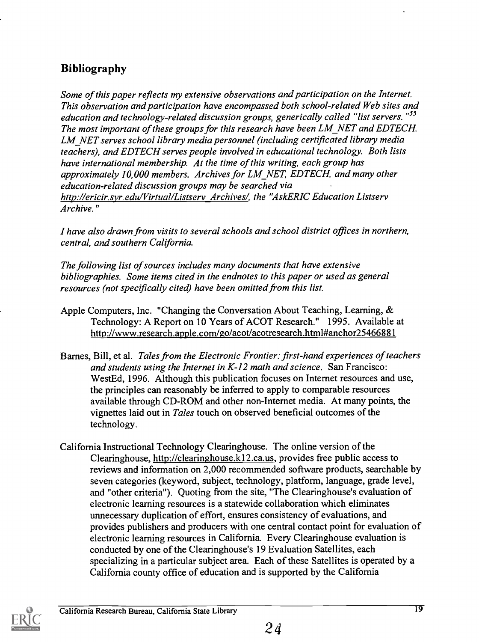# Bibliography

Some of this paper reflects my extensive observations and participation on the Internet. This observation and participation have encompassed both school-related Web sites and education and technology-related discussion groups, generically called "list servers."<sup>55</sup> The most important of these groups for this research have been LM NET and EDTECH. LM NET serves school library media personnel (including certificated library media teachers), and EDTECH serves people involved in educational technology. Both lists have international membership. At the time of this writing, each group has approximately 10,000 members. Archives for LM NET, EDTECH, and many other education-related discussion groups may be searched via http://ericir.syr.edu/Virtual/Listsery Archives/, the "AskERIC Education Listsery Archive."

I have also drawn from visits to several schools and school district offices in northern, central, and southern California.

The following list of sources includes many documents that have extensive bibliographies. Some items cited in the endnotes to this paper or used as general resources (not specifically cited) have been omitted from this list.

- Apple Computers, Inc. "Changing the Conversation About Teaching, Learning, & Technology: A Report on 10 Years of ACOT Research." 1995. Available at http://www.research.apple.com/go/acot/acotresearch.html#anchor25466881
- Barnes, Bill, et al. Tales from the Electronic Frontier: first-hand experiences of teachers and students using the Internet in K-12 math and science. San Francisco: WestEd, 1996. Although this publication focuses on Internet resources and use, the principles can reasonably be inferred to apply to comparable resources available through CD-ROM and other non-Internet media. At many points, the vignettes laid out in Tales touch on observed beneficial outcomes of the technology.
- California Instructional Technology Clearinghouse. The online version of the Clearinghouse, http://clearinghouse.k12.ca.us, provides free public access to reviews and information on 2,000 recommended software products, searchable by seven categories (keyword, subject, technology, platform, language, grade level, and "other criteria"). Quoting from the site, "The Clearinghouse's evaluation of electronic learning resources is a statewide collaboration which eliminates unnecessary duplication of effort, ensures consistency of evaluations, and provides publishers and producers with one central contact point for evaluation of electronic learning resources in California. Every Clearinghouse evaluation is conducted by one of the Clearinghouse's 19 Evaluation Satellites, each specializing in a particular subject area. Each of these Satellites is operated by a California county office of education and is supported by the California

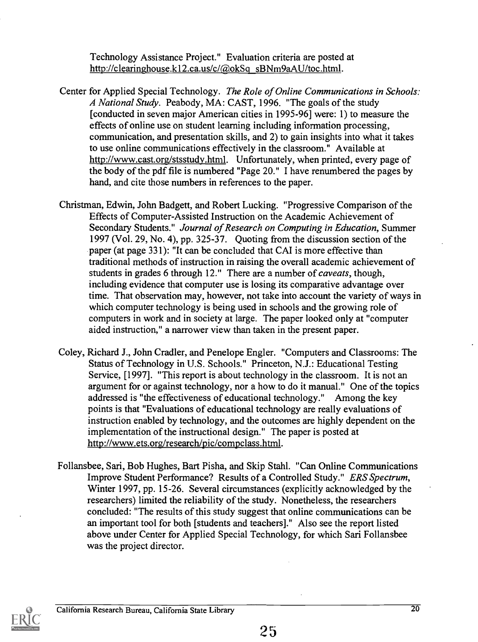Technology Assistance Project." Evaluation criteria are posted at http://clearinghouse.k12.ca.us/c/@okSq sBNm9aAU/toc.html.

- Center for Applied Special Technology. The Role of Online Communications in Schools: A National Study. Peabody, MA: CAST, 1996. "The goals of the study [conducted in seven major American cities in 1995-96] were: 1) to measure the effects of online use on student learning including information processing, communication, and presentation skills, and 2) to gain insights into what it takes to use online communications effectively in the classroom." Available at http://www.cast.org/stsstudy.html. Unfortunately, when printed, every page of the body of the pdf file is numbered "Page 20." I have renumbered the pages by hand, and cite those numbers in references to the paper.
- Christman, Edwin, John Badgett, and Robert Lucking. "Progressive Comparison of the Effects of Computer-Assisted Instruction on the Academic Achievement of Secondary Students." Journal of Research on Computing in Education, Summer 1997 (Vol. 29, No. 4), pp. 325-37. Quoting from the discussion section of the paper (at page 331): "It can be concluded that CAI is more effective than traditional methods of instruction in raising the overall academic achievement of students in grades 6 through 12." There are a number of *caveats*, though, including evidence that computer use is losing its comparative advantage over time. That observation may, however, not take into account the variety of ways in which computer technology is being used in schools and the growing role of computers in work and in society at large. The paper looked only at "computer aided instruction," a narrower view than taken in the present paper.
- Coley, Richard J., John Cradler, and Penelope Engler. "Computers and Classrooms: The Status of Technology in U.S. Schools." Princeton, N.J.: Educational Testing Service, [1997]. "This report is about technology in the classroom. It is not an argument for or against technology, nor a how to do it manual." One of the topics addressed is "the effectiveness of educational technology." Among the key points is that "Evaluations of educational technology are really evaluations of instruction enabled by technology, and the outcomes are highly dependent on the implementation of the instructional design." The paper is posted at http://www.ets.org/research/pic/compclass.html.
- Follansbee, Sari, Bob Hughes, Bart Pisha, and Skip Stahl. "Can Online Communications Improve Student Performance? Results of a Controlled Study." ERS Spectrum, Winter 1997, pp. 15-26. Several circumstances (explicitly acknowledged by the researchers) limited the reliability of the study. Nonetheless, the researchers concluded: "The results of this study suggest that online communications can be an important tool for both [students and teachers]." Also see the report listed above under Center for Applied Special Technology, for which Sari Follansbee was the project director.



20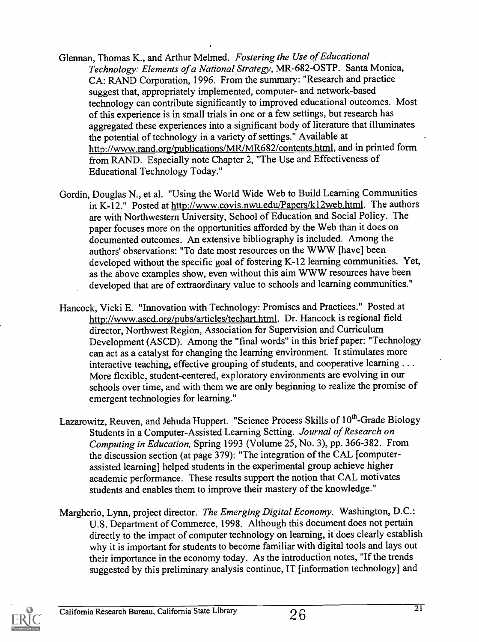- Glennan, Thomas K., and Arthur Melmed. Fostering the Use of Educational Technology: Elements of a National Strategy, MR-682-0STP. Santa Monica, CA: RAND Corporation, 1996. From the summary: "Research and practice suggest that, appropriately implemented, computer- and network-based technology can contribute significantly to improved educational outcomes. Most of this experience is in small trials in one or a few settings, but research has aggregated these experiences into a significant body of literature that illuminates the potential of technology in a variety of settings." Available at http://www.rand.org/publications/MR/MR682/contents.htm1, and in printed form from RAND. Especially note Chapter 2, "The Use and Effectiveness of Educational Technology Today."
- Gordin, Douglas N., et al. "Using the World Wide Web to Build Learning Communities in K-12." Posted at http://www.covis.nwu.edu/Papers/k12web.htrnl. The authors are with Northwestern University, School of Education and Social Policy. The paper focuses more on the opportunities afforded by the Web than it does on documented outcomes. An extensive bibliography is included. Among the authors' observations: "To date most resources on the WWW [have] been developed without the specific goal of fostering K-12 learning communities. Yet, as the above examples show, even without this aim WWW resources have been developed that are of extraordinary value to schools and learning communities."
- Hancock, Vicki E. "Innovation with Technology: Promises and Practices." Posted at http://www.ascd.org/pubs/articles/techart.html. Dr. Hancock is regional field director, Northwest Region, Association for Supervision and Curriculum Development (ASCD). Among the "final words" in this brief paper: "Technology can act as a catalyst for changing the learning environment. It stimulates more interactive teaching, effective grouping of students, and cooperative learning . . . More flexible, student-centered, exploratory environments are evolving in our schools over time, and with them we are only beginning to realize the promise of emergent technologies for learning."
- Lazarowitz, Reuven, and Jehuda Huppert. "Science Process Skills of 10<sup>th</sup>-Grade Biology Students in a Computer-Assisted Learning Setting. Journal of Research on Computing in Education, Spring 1993 (Volume 25, No. 3), pp. 366-382. From the discussion section (at page 379): "The integration of the CAL [computerassisted learning] helped students in the experimental group achieve higher academic performance. These results support the notion that CAL motivates students and enables them to improve their mastery of the knowledge."
- Margherio, Lynn, project director. The Emerging Digital Economy. Washington, D.C.: U.S. Department of Commerce, 1998. Although this document does not pertain directly to the impact of computer technology on learning, it does clearly establish why it is important for students to become familiar with digital tools and lays out their importance in the economy today. As the introduction notes, "If the trends suggested by this preliminary analysis continue, IT [information technology] and

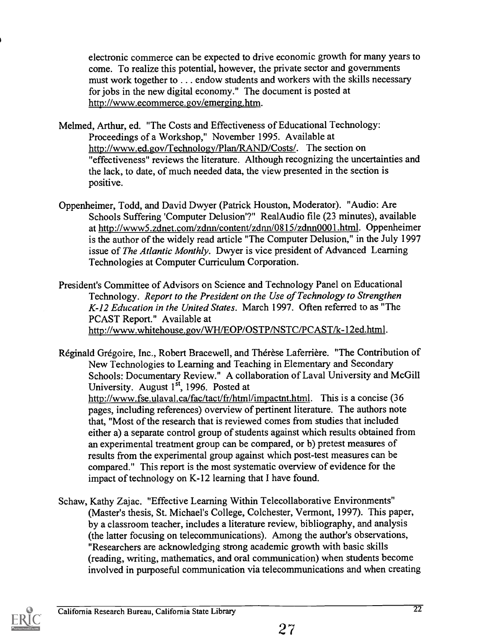electronic commerce can be expected to drive economic growth for many years to come. To realize this potential, however, the private sector and governments must work together to . . . endow students and workers with the skills necessary for jobs in the new digital economy." The document is posted at http://www.ecomrnerce.gov/emerging.htm.

- Melmed, Arthur, ed. "The Costs and Effectiveness of Educational Technology: Proceedings of a Workshop," November 1995. Available at http://www.ed.gov/Technology/Plan/RAND/Costs/. The section on "effectiveness" reviews the literature. Although recognizing the uncertainties and the lack, to date, of much needed data, the view presented in the section is positive.
- Oppenheimer, Todd, and David Dwyer (Patrick Houston, Moderator). "Audio: Are Schools Suffering 'Computer Delusion'?" RealAudio file (23 minutes), available at http://www5.zdnet.com/zdnn/content/zdnn/0815/zdnn0001.html. Oppenheimer is the author of the widely read article "The Computer Delusion," in the July 1997 issue of The Atlantic Monthly. Dwyer is vice president of Advanced Learning Technologies at Computer Curriculum Corporation.
- President's Committee of Advisors on Science and Technology Panel on Educational Technology. Report to the President on the Use of Technology to Strengthen K-12 Education in the United States. March 1997. Often referred to as "The PCAST Report." Available at http://www.whitehouse.gov/WH/EOP/OSTP/NSTC/PCAST/k-12ed.html.
- Réginald Grégoire, Inc., Robert Bracewell, and Thérèse Laferrière. "The Contribution of New Technologies to Learning and Teaching in Elementary and Secondary Schools: Documentary Review." A collaboration of Laval University and McGill University. August  $1<sup>st</sup>$ , 1996. Posted at http://www.fse.ulaval.ca/fac/tact/fr/html/impactnt.html. This is a concise (36 pages, including references) overview of pertinent literature. The authors note that, "Most of the research that is reviewed comes from studies that included either a) a separate control group of students against which results obtained from an experimental treatment group can be compared, or b) pretest measures of results from the experimental group against which post-test measures can be compared." This report is the most systematic overview of evidence for the impact of technology on K-12 learning that I have found.
- Schaw, Kathy Zajac. "Effective Learning Within Telecollaborative Environments" (Master's thesis, St. Michael's College, Colchester, Vermont, 1997). This paper, by a classroom teacher, includes a literature review, bibliography, and analysis (the latter focusing on telecommunications). Among the author's observations, "Researchers are acknowledging strong academic growth with basic skills (reading, writing, mathematics, and oral communication) when students become involved in purposeful communication via telecommunications and when creating

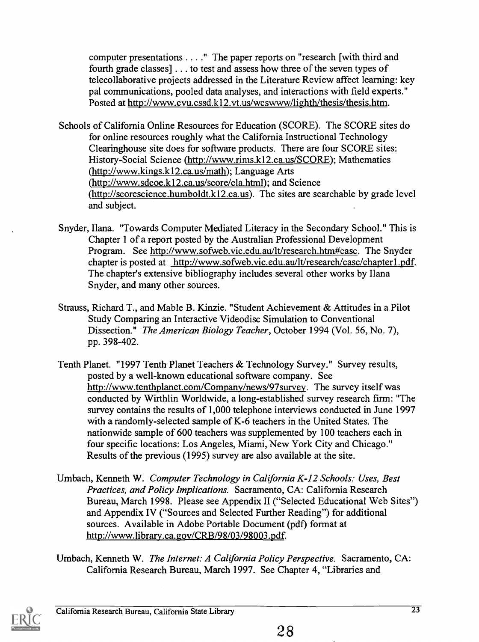computer presentations . . .." The paper reports on "research [with third and fourth grade classes] . . . to test and assess how three of the seven types of telecollaborative projects addressed in the Literature Review affect learning: key pal communications, pooled data analyses, and interactions with field experts." Posted at http://www.cvu.cssd.k12.vt.us/wcswww/lighth/thesis/thesis.htrn.

Schools of California Online Resources for Education (SCORE). The SCORE sites do for online resources roughly what the California Instructional Technology Clearinghouse site does for software products. There are four SCORE sites: History-Social Science (http://www.rims.k12.ca.us/SCORE); Mathematics (http://www.kings.k12.ca.us/math); Language Arts (http://www.sdcoe.k12.ca.us/score/cla.html); and Science (http://scorescience.humboldt.k12.ca.us). The sites are searchable by grade level and subject.

- Snyder, Ilana. "Towards Computer Mediated Literacy in the Secondary School." This is Chapter 1 of a report posted by the Australian Professional Development Program. See http://www.sofweb.vic.edu.au/lt/research.htm#casc. The Snyder chapter is posted at http://www.sofweb.vic.edu.au/lt/research/casc/chapterl.pdf. The chapter's extensive bibliography includes several other works by Ilana Snyder, and many other sources.
- Strauss, Richard T., and Mable B. Kinzie. "Student Achievement & Attitudes in a Pilot Study Comparing an Interactive Videodisc Simulation to Conventional Dissection." The American Biology Teacher, October 1994 (Vol. 56, No. 7), pp. 398-402.
- Tenth Planet. "1997 Tenth Planet Teachers & Technology Survey." Survey results, posted by a well-known educational software company. See http://www.tenthplanet.com/Company/news/97survey. The survey itself was conducted by Wirthlin Worldwide, a long-established survey research firm: "The survey contains the results of 1,000 telephone interviews conducted in June 1997 with a randomly-selected sample of K-6 teachers in the United States. The nationwide sample of 600 teachers was supplemented by 100 teachers each in four specific locations: Los Angeles, Miami, New York City and Chicago." Results of the previous (1995) survey are also available at the site.
- Umbach, Kenneth W. Computer Technology in California K-12 Schools: Uses, Best Practices, and Policy Implications. Sacramento, CA: California Research Bureau, March 1998. Please see Appendix II ("Selected Educational Web Sites") and Appendix IV ("Sources and Selected Further Reading") for additional sources. Available in Adobe Portable Document (pdf) format at http://www.library.ca.gov/CRB/98/03/98003.pdf.
- Umbach, Kenneth W. The Internet: A California Policy Perspective. Sacramento, CA: California Research Bureau, March 1997. See Chapter 4, "Libraries and

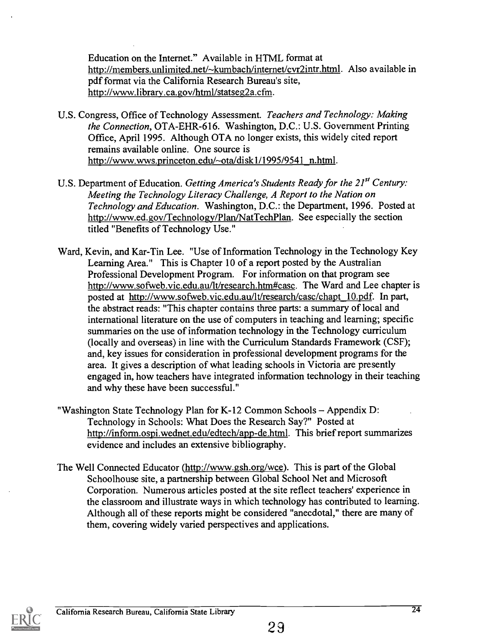Education on the Internet." Available in HTML format at http://members.unlimited.net/~kumbach/internet/cvr2intr.html. Also available in pdf format via the California Research Bureau's site, http://www.librarv.ca.gov/html/statseg2a.cfm.

- U.S. Congress, Office of Technology Assessment. Teachers and Technology: Making the Connection, OTA-EHR-616. Washington, D.C.: U.S. Government Printing Office, April 1995. Although OTA no longer exists, this widely cited report remains available online. One source is http://www.wws.princeton.edu/~ota/disk1/1995/9541 n.html.
- U.S. Department of Education. Getting America's Students Ready for the 21<sup>st</sup> Century: Meeting the Technology Literacy Challenge, A Report to the Nation on Technology and Education. Washington, D.C.: the Department, 1996. Posted at http://www.ed.gov/Technology/Plan/NatTechPlan. See especially the section titled "Benefits of Technology Use."
- Ward, Kevin, and Kar-Tin Lee. "Use of Information Technology in the Technology Key Learning Area." This is Chapter 10 of a report posted by the Australian Professional Development Program. For information on that program see http://www.sofweb.vic.edu.au/lt/research.htm#casc. The Ward and Lee chapter is posted at http://www.sofweb.vic.edu.au/lt/research/casc/chapt 10.pdf. In part, the abstract reads: "This chapter contains three parts: a summary of local and international literature on the use of computers in teaching and learning; specific summaries on the use of information technology in the Technology curriculum (locally and overseas) in line with the Curriculum Standards Framework (CSF); and, key issues for consideration in professional development programs for the area. It gives a description of what leading schools in Victoria are presently engaged in, how teachers have integrated information technology in their teaching and why these have been successful."
- "Washington State Technology Plan for K-12 Common Schools  $-$  Appendix D: Technology in Schools: What Does the Research Say?" Posted at http://inform.ospi.wednet.edu/edtech/app-de.html. This brief report summarizes evidence and includes an extensive bibliography.
- The Well Connected Educator (http://www.gsh.org/wce). This is part of the Global Schoolhouse site, a partnership between Global School Net and Microsoft Corporation. Numerous articles posted at the site reflect teachers' experience in the classroom and illustrate ways in which technology has contributed to learning. Although all of these reports might be considered "anecdotal," there are many of them, covering widely varied perspectives and applications.

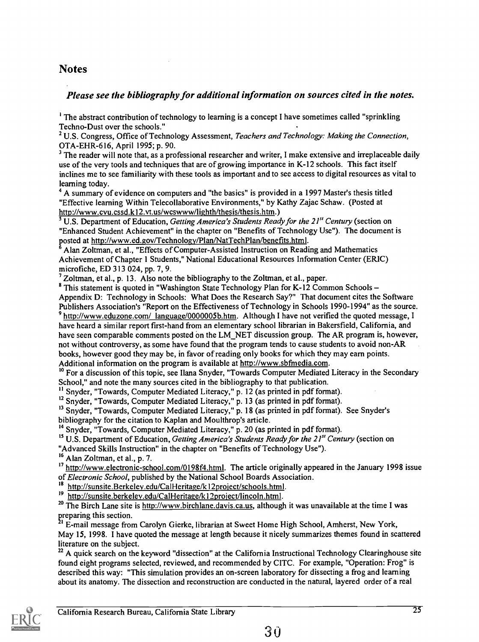#### **Notes**

#### Please see the bibliography for additional information on sources cited in the notes.

<sup>1</sup> The abstract contribution of technology to learning is a concept I have sometimes called "sprinkling" Techno-Dust over the schools."

 $2^2$  U.S. Congress, Office of Technology Assessment, Teachers and Technology: Making the Connection, OTA-EHR-616, April 1995; p. 90.

<sup>3</sup> The reader will note that, as a professional researcher and writer, I make extensive and irreplaceable daily use of the very tools and techniques that are of growing importance in K-12 schools. This fact itself inclines me to see familiarity with these tools as important and to see access to digital resources as vital to learning today.

<sup>4</sup> A summary of evidence on computers and "the basics" is provided in a 1997 Master's thesis titled "Effective learning Within Telecollaborative Environments," by Kathy Zajac Schaw. (Posted at http://www.cvu.cssd.k12.vt.us/wcswww/lighth/thesis/thesis.htm.)

 $\overline{5}$  U.S. Department of Education, Getting America's Students Ready for the 21<sup>st</sup> Century (section on "Enhanced Student Achievement" in the chapter on "Benefits of Technology Use"). The document is posted at http://www.ed.gov/Technology/Plan/NatTechPlan/benefits.html.

Alan Zoltman, et al., "Effects of Computer-Assisted Instruction on Reading and Mathematics Achievement of Chapter 1 Students," National Educational Resources Information Center (ERIC) microfiche, ED 313 024, pp. 7, 9.

 $<sup>7</sup>$  Zoltman, et al., p. 13. Also note the bibliography to the Zoltman, et al., paper.</sup>

<sup>8</sup> This statement is quoted in "Washington State Technology Plan for K-12 Common Schools -Appendix D: Technology in Schools: What Does the Research Say?" That document cites the Software Publishers Association's "Report on the Effectiveness of Technology in Schools 1990-1994" as the source.  $9$  http://www.eduzone.com/ language/0000005b.htm. Although I have not verified the quoted message, I have heard a similar report first-hand from an elementary school librarian in Bakersfield, California, and have seen comparable comments posted on the LM\_NET discussion group. The AR program is, however, not without controversy, as some have found that the program tends to cause students to avoid non-AR books, however good they may be, in favor of reading only books for which they may earn points.

Additional information on the program is available at http://www.sbfmedia.com.

1° For a discussion of this topic, see Ilana Snyder, "Towards Computer Mediated Literacy in the Secondary School," and note the many sources cited in the bibliography to that publication.

<sup>11</sup> Snyder, "Towards, Computer Mediated Literacy," p. 12 (as printed in pdf format).

<sup>12</sup> Snyder, "Towards, Computer Mediated Literacy," p. 13 (as printed in pdf format).

<sup>13</sup> Snyder, "Towards, Computer Mediated Literacy," p. 18 (as printed in pdf format). See Snyder's bibliography for the citation to Kaplan and Moulthrop's article.

<sup>14</sup> Snyder, "Towards, Computer Mediated Literacy," p. 20 (as printed in pdf format).

<sup>15</sup> U.S. Department of Education, Getting America's Students Ready for the 21<sup>st</sup> Century (section on "Advanced Skills Instruction" in the chapter on "Benefits of Technology Use").

<sup>16</sup> Alan Zoltman, et al., p. 7.

<sup>17</sup> http://www.electronic-school.com/0198f4.html. The article originally appeared in the January 1998 issue of Electronic School, published by the National School Boards Association.

http://sunsite.Berkeley.edu/CalHeritage/k12project/schools.html.

19 http://sunsite.berkeley.edu/CalHeritage/k12project/lincoln.html.

<sup>20</sup> The Birch Lane site is http://www.birchlane.davis.ca.us, although it was unavailable at the time I was preparing this section.

1 E-mail message from Carolyn Gierke, librarian at Sweet Home High School, Amherst, New York, May 15, 1998. I have quoted the message at length because it nicely summarizes themes found in scattered literature on the subject.

<sup>22</sup> A quick search on the keyword "dissection" at the California Instructional Technology Clearinghouse site found eight programs selected, reviewed, and recommended by CITC. For example, "Operation: Frog" is described this way: "This simulation provides an on-screen laboratory for dissecting a frog and learning about its anatomy. The dissection and reconstruction are conducted in the natural, layered order of a real

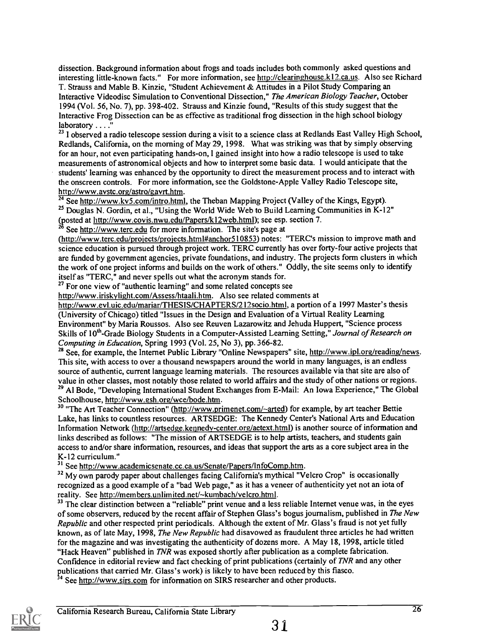dissection. Background information about frogs and toads includes both commonly asked questions and interesting little-known facts." For more information, see http://clearinghouse.k12.ca.us. Also see Richard T. Strauss and Mable B. Kinzie, "Student Achievement & Attitudes in a Pilot Study Comparing an Interactive Videodisc Simulation to Conventional Dissection," The American Biology Teacher, October 1994 (Vol. 56, No. 7), pp. 398-402. Strauss and Kinzie found, "Results of this study suggest that the Interactive Frog Dissection can be as effective as traditional frog dissection in the high school biology laboratory . . . ."

<sup>23</sup> I observed a radio telescope session during a visit to a science class at Redlands East Valley High School, Redlands, California, on the morning of May 29, 1998. What was striking was that by simply observing for an hour, not even participating hands-on, I gained insight into how a radio telescope is used to take measurements of astronomical objects and how to interpret some basic data. I would anticipate that the students' learning was enhanced by the opportunity to direct the measurement process and to interact with the onscreen controls. For more information, see the Goldstone-Apple Valley Radio Telescope site, http://www.aystc.org/astro/gavrt.htm.

 $\frac{1}{24}$  See http://www.kv5.com/intro.html, the Theban Mapping Project (Valley of the Kings, Egypt). <sup>25</sup> Douglas N. Gordin, et al., "Using the World Wide Web to Build Learning Communities in K-12" (posted at <u>http://www.covis.nwu.edu/Papers/k12web.html</u>); see esp. section 7.

<sup>26</sup> See http://www.terc.edu for more information. The site's page at

(http://www.terc.edu/proiects/proiects.html#anchor510853) notes: "TERC's mission to improve math and science education is pursued through project work. TERC currently has over forty-four active projects that are funded by government agencies, private foundations, and industry. The projects form clusters in which the work of one project informs and builds on the work of others." Oddly, the site seems only to identify itself as "TERC," and never spells out what the acronym stands for.

<sup>27</sup> For one view of "authentic learning" and some related concepts see

http://www.iriskylight.com/Assess/htaali.htm. Also see related comments at

http://www.evl.uic.edu/mariar/THESIS/CHAPTERS/212socio.html, a portion of a 1997 Master's thesis (University of Chicago) titled "Issues in the Design and Evaluation of a Virtual Reality Learning Environment" by Maria Roussos. Also see Reuven Lazarowitz and Jehuda Huppert, "Science process Skills of 10<sup>th</sup>-Grade Biology Students in a Computer-Assisted Learning Setting," Journal of Research on Computing in Education, Spring 1993 (Vol. 25, No 3), pp. 366-82.

<sup>28</sup> See, for example, the Internet Public Library "Online Newspapers" site, http://www.ipl.org/reading/news. This site, with access to over a thousand newspapers around the world in many languages, is an endless source of authentic, current language learning materials. The resources available via that site are also of value in other classes, most notably those related to world affairs and the study of other nations or regions. <sup>29</sup> Al Bode, "Developing International Student Exchanges from E-Mail: An Iowa Experience," The Global Schoolhouse, http://www.esh.org/wce/bode.htm.

<sup>30</sup> "The Art Teacher Connection" (http://www.primenet.com/~arted) for example, by art teacher Bettie Lake, has links to countless resources. ARTSEDGE: The Kennedy Center's National Arts and Education Information Network (http://artsedge.kennedy-center.org/aetext.html) is another source of information and links described as follows: "The mission of ARTSEDGE is to help artists, teachers, and students gain access to and/or share information, resources, and ideas that support the arts as a core subject area in the K-12 curriculum."

<sup>31</sup> See http://www.academicsenate.cc.ca.us/Senate/Papers/InfoComp.htm.

 $32$  My own parody paper about challenges facing California's mythical "Velcro Crop" is occasionally recognized as a good example of a "bad Web page," as it has a veneer of authenticity yet not an iota of reality. See http://members.unlimited.net/~kumbach/velcro.html.

 $33$  The clear distinction between a "reliable" print venue and a less reliable Internet venue was, in the eyes of some observers, reduced by the recent affair of Stephen Glass's bogus journalism, published in The New Republic and other respected print periodicals. Although the extent of Mr. Glass's fraud is not yet fully known, as of late May, 1998, The New Republic had disavowed as fraudulent three articles he had written for the magazine and was investigating the authenticity of dozens more. A May 18, 1998, article titled "Hack Heaven" published in TNR was exposed shortly after publication as a complete fabrication. Confidence in editorial review and fact checking of print publications (certainly of TNR and any other publications that carried Mr. Glass's work) is likely to have been reduced by this fiasco.

<sup>34</sup> See http://www.sirs.com for information on SIRS researcher and other products.

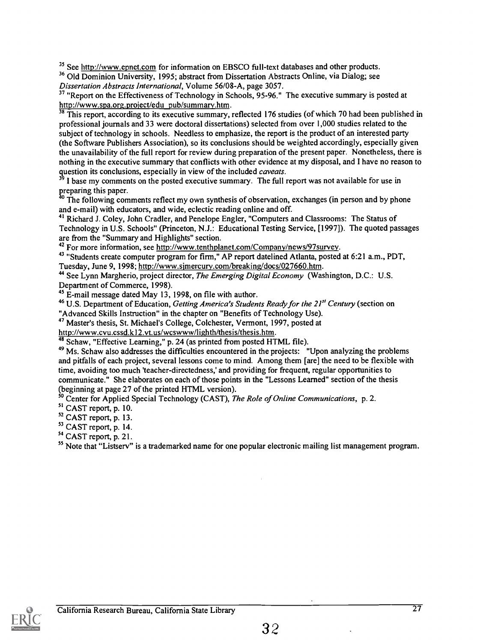<sup>35</sup> See http://www.epnet.com for information on EBSCO full-text databases and other products.

<sup>36</sup> Old Dominion University, 1995; abstract from Dissertation Abstracts Online, via Dialog; see Dissertation Abstracts International, Volume 56/08-A, page 3057.

<sup>37</sup> "Report on the Effectiveness of Technology in Schools, 95-96." The executive summary is posted at http://www.spa.org.project/edu pub/summary.htm.

<sup>38</sup> This report, according to its executive summary, reflected 176 studies (of which 70 had been published in professional journals and 33 were doctoral dissertations) selected from over 1,000 studies related to the subject of technology in schools. Needless to emphasize, the report is the product of an interested party (the Software Publishers Association), so its conclusions should be weighted accordingly, especially given the unavailability of the full report for review during preparation of the present paper. Nonetheless, there is nothing in the executive summary that conflicts with other evidence at my disposal, and I have no reason to question its conclusions, especially in view of the included *caveats*.

I base my comments on the posted executive summary. The full report was not available for use in preparing this paper.

 $^{\circ}$  The following comments reflect my own synthesis of observation, exchanges (in person and by phone and e-mail) with educators, and wide, eclectic reading online and off.

<sup>41</sup> Richard J. Coley, John Cradler, and Penelope Engler, "Computers and Classrooms: The Status of Technology in U.S. Schools" (Princeton, N.J.: Educational Testing Service, [1997]). The quoted passages are from the "Summary and Highlights" section.

<sup>42</sup> For more information, see http://www.tenthplanet.com/Company/news/97survey.

<sup>43</sup> "Students create computer program for firm," AP report datelined Atlanta, posted at 6:21 a.m., PDT, Tuesday, June 9, 1998; http://www.simercurv.com/breaking/docs/027660.htm.

<sup>44</sup> See Lynn Margherio, project director, *The Emerging Digital Economy* (Washington, D.C.: U.S. Department of Commerce, 1998).

<sup>45</sup> E-mail message dated May 13, 1998, on file with author.

 $46$  U.S. Department of Education, Getting America's Students Ready for the 21<sup>st</sup> Century (section on

"Advanced Skills Instruction" in the chapter on "Benefits of Technology Use).

47 Master's thesis, St. Michael's College, Colchester, Vermont, 1997, posted at

http://www.cvu.cssd.k12.vt.us/wcswww/lighth/thesis/thesis.htm.

<sup>48</sup> Schaw, "Effective Learning," p. 24 (as printed from posted HTML file).

<sup>49</sup> Ms. Schaw also addresses the difficulties encountered in the projects: "Upon analyzing the problems and pitfalls of each project, several lessons come to mind. Among them [are] the need to be flexible with time, avoiding too much 'teacher-directedness,' and providing for frequent, regular opportunities to communicate." She elaborates on each of those points in the "Lessons Learned" section of the thesis (beginning at page 27 of the printed HTML version).

<sup>50</sup> Center for Applied Special Technology (CAST), *The Role of Online Communications*, p. 2.

<sup>51</sup> CAST report, p. 10.

<sup>52</sup> CAST report, p. 13.

<sup>53</sup> CAST report, p. 14.

54 CAST report, p. 21.

<sup>55</sup> Note that "Listserv" is a trademarked name for one popular electronic mailing list management program.

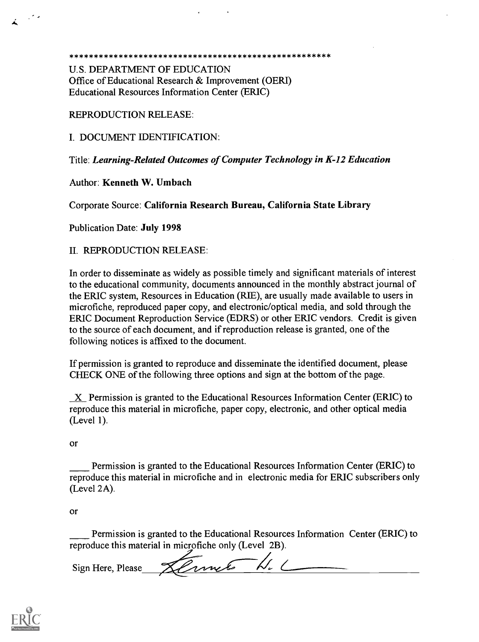#### \* \* \* \* \* \* \* \* \* \* \* \* \* \* \* \* \* \* \* \* \* \* \* \* \* \* \* \* \* \* \* \* \* \* \* \* \* \* \* \* \* \* \* \* \* \* \* \* \* \* \* \* \*

U.S. DEPARTMENT OF EDUCATION Office of Educational Research & Improvement (OERI) Educational Resources Information Center (ERIC)

#### REPRODUCTION RELEASE:

I. DOCUMENT IDENTIFICATION:

Title: Learning-Related Outcomes of Computer Technology in K-12 Education

#### Author: Kenneth W. Umbach

Corporate Source: California Research Bureau, California State Library

Publication Date: July 1998

#### II. REPRODUCTION RELEASE:

In order to disseminate as widely as possible timely and significant materials of interest to the educational community, documents announced in the monthly abstract journal of the ERIC system, Resources in Education (RIE), are usually made available to users in microfiche, reproduced paper copy, and electronic/optical media, and sold through the ERIC Document Reproduction Service (EDRS) or other ERIC vendors. Credit is given to the source of each document, and if reproduction release is granted, one of the following notices is affixed to the document.

If permission is granted to reproduce and disseminate the identified document, please CHECK ONE of the following three options and sign at the bottom of the page.

X Permission is granted to the Educational Resources Information Center (ERIC) to reproduce this material in microfiche, paper copy, electronic, and other optical media (Level 1).

Or

Permission is granted to the Educational Resources Information Center (ERIC) to reproduce this material in microfiche and in electronic media for ERIC subscribers only (Level 2A).

or

Permission is granted to the Educational Resources Information Center (ERIC) to reproduce this material in microfiche only (Level 2B).

Sign Here, Please Sermet H.